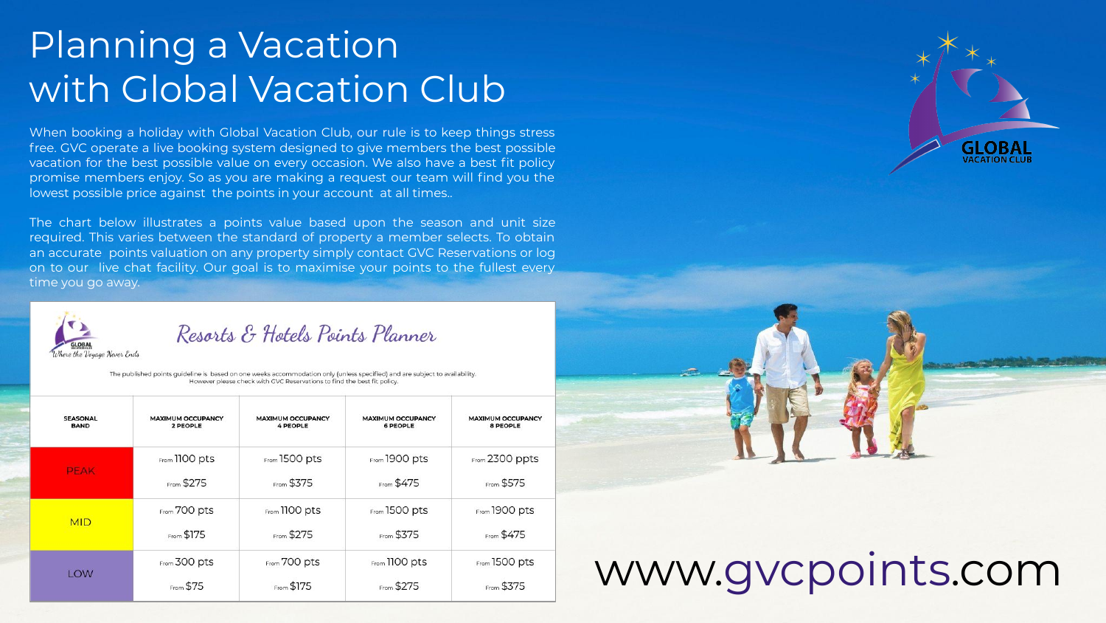## Planning a Vacation with Global Vacation Club

When booking a holiday with Global Vacation Club, our rule is to keep things stress free. GVC operate a live booking system designed to give members the best possible vacation for the best possible value on every occasion. We also have a best fit policy promise members enjoy. So as you are making a request our team will find you the lowest possible price against the points in your account at all times..

The chart below illustrates a points value based upon the season and unit size required. This varies between the standard of property a member selects. To obtain an accurate points valuation on any property simply contact GVC Reservations or log on to our live chat facility. Our goal is to maximise your points to the fullest every time you go away.



Resorts & Hotels Points Planner

The published points quideline is based on one weeks accommodation only (unless specified) and are subject to availability. However please check with GVC Reservations to find the best fit policy.

| <b>SEASONAL</b> | <b>MAXIMUM OCCUPANCY</b> | <b>MAXIMUM OCCUPANCY</b> | <b>MAXIMUM OCCUPANCY</b> | <b>MAXIMUM OCCUPANCY</b> |
|-----------------|--------------------------|--------------------------|--------------------------|--------------------------|
| <b>BAND</b>     | 2 PEOPLE                 | <b>4 PEOPLE</b>          | <b>6 PEOPLE</b>          | <b>8 PEOPLE</b>          |
| <b>PEAK</b>     | From 1100 pts            | From 1500 pts            | From 1900 pts            | From 2300 ppts           |
|                 | From \$275               | From \$375               | From \$475               | From \$575               |
| <b>MID</b>      | From 700 pts             | From 1100 pts            | From 1500 pts            | From 1900 pts            |
|                 | From \$175               | From \$275               | From \$375               | From \$475               |
| LOW             | From 300 pts             | From 700 pts             | From 1100 pts            | From 1500 pts            |
|                 | From \$75                | From \$175               | From \$275               | From \$375               |